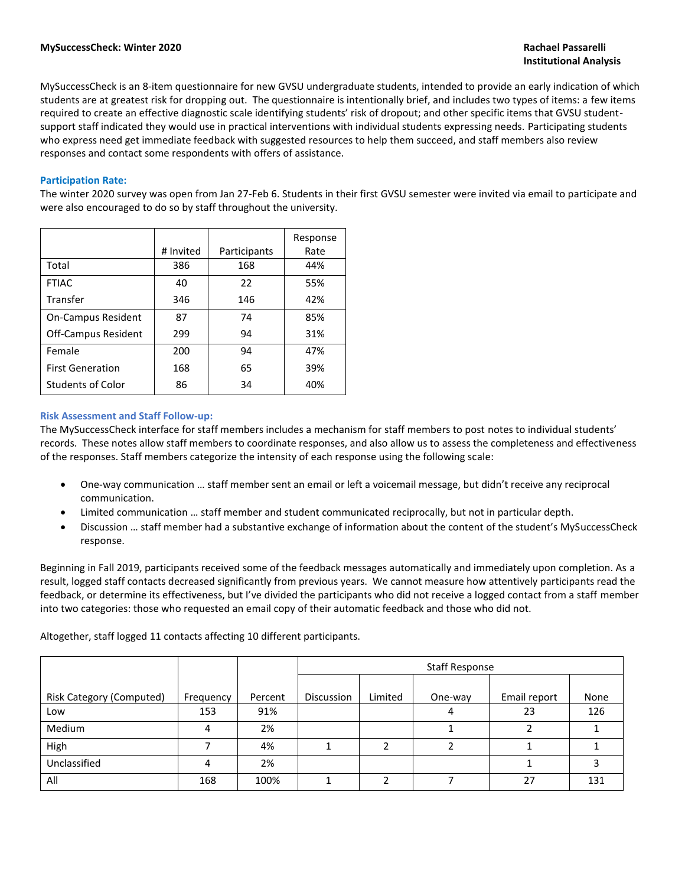MySuccessCheck is an 8-item questionnaire for new GVSU undergraduate students, intended to provide an early indication of which students are at greatest risk for dropping out. The questionnaire is intentionally brief, and includes two types of items: a few items required to create an effective diagnostic scale identifying students' risk of dropout; and other specific items that GVSU studentsupport staff indicated they would use in practical interventions with individual students expressing needs. Participating students who express need get immediate feedback with suggested resources to help them succeed, and staff members also review responses and contact some respondents with offers of assistance.

#### **Participation Rate:**

The winter 2020 survey was open from Jan 27-Feb 6. Students in their first GVSU semester were invited via email to participate and were also encouraged to do so by staff throughout the university.

|                            | # Invited | Participants | Response<br>Rate |
|----------------------------|-----------|--------------|------------------|
| Total                      | 386       | 168          | 44%              |
| <b>FTIAC</b>               | 40        | 22           | 55%              |
| Transfer                   | 346       | 146          | 42%              |
| <b>On-Campus Resident</b>  | 87        | 74           | 85%              |
| <b>Off-Campus Resident</b> | 299       | 94           | 31%              |
| Female                     | 200       | 94           | 47%              |
| <b>First Generation</b>    | 168       | 65           | 39%              |
| <b>Students of Color</b>   | 86        | 34           | 40%              |

#### **Risk Assessment and Staff Follow-up:**

The MySuccessCheck interface for staff members includes a mechanism for staff members to post notes to individual students' records. These notes allow staff members to coordinate responses, and also allow us to assess the completeness and effectiveness of the responses. Staff members categorize the intensity of each response using the following scale:

- One-way communication … staff member sent an email or left a voicemail message, but didn't receive any reciprocal communication.
- Limited communication … staff member and student communicated reciprocally, but not in particular depth.
- Discussion … staff member had a substantive exchange of information about the content of the student's MySuccessCheck response.

Beginning in Fall 2019, participants received some of the feedback messages automatically and immediately upon completion. As a result, logged staff contacts decreased significantly from previous years. We cannot measure how attentively participants read the feedback, or determine its effectiveness, but I've divided the participants who did not receive a logged contact from a staff member into two categories: those who requested an email copy of their automatic feedback and those who did not.

|                                 |           |         | <b>Staff Response</b> |         |         |              |      |  |
|---------------------------------|-----------|---------|-----------------------|---------|---------|--------------|------|--|
| <b>Risk Category (Computed)</b> | Frequency | Percent | <b>Discussion</b>     | Limited | One-way | Email report | None |  |
| Low                             | 153       | 91%     |                       |         | 4       | 23           | 126  |  |
| Medium                          | 4         | 2%      |                       |         |         |              |      |  |
| High                            |           | 4%      |                       | າ       | ∍       |              |      |  |
| Unclassified                    | 4         | 2%      |                       |         |         |              |      |  |
| All                             | 168       | 100%    |                       |         |         | 27           | 131  |  |

Altogether, staff logged 11 contacts affecting 10 different participants.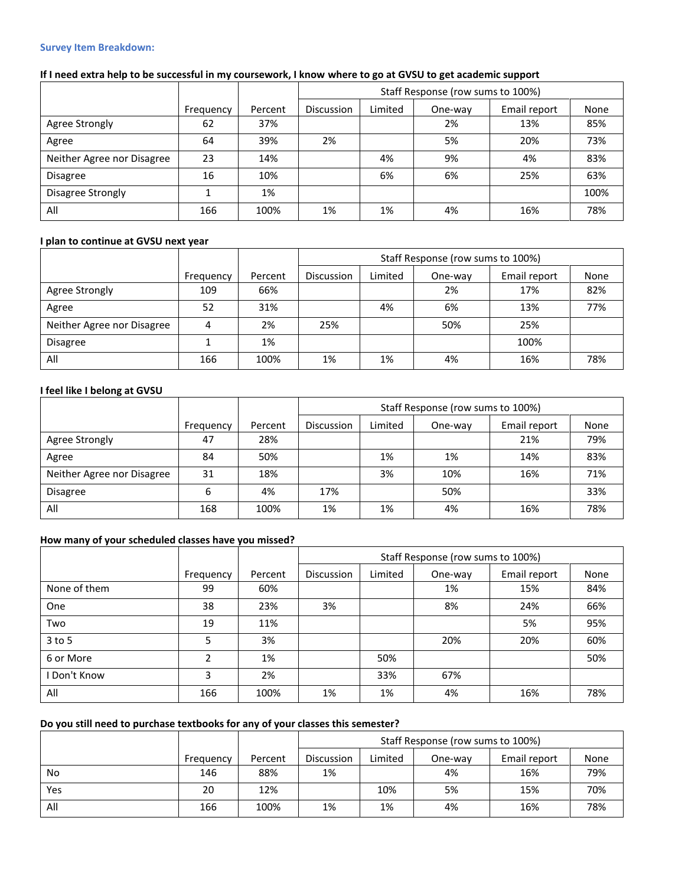#### **Survey Item Breakdown:**

|                            |           |         | Staff Response (row sums to 100%) |         |         |              |      |  |
|----------------------------|-----------|---------|-----------------------------------|---------|---------|--------------|------|--|
|                            | Frequency | Percent | Discussion                        | Limited | One-way | Email report | None |  |
| Agree Strongly             | 62        | 37%     |                                   |         | 2%      | 13%          | 85%  |  |
| Agree                      | 64        | 39%     | 2%                                |         | 5%      | 20%          | 73%  |  |
| Neither Agree nor Disagree | 23        | 14%     |                                   | 4%      | 9%      | 4%           | 83%  |  |
| <b>Disagree</b>            | 16        | 10%     |                                   | 6%      | 6%      | 25%          | 63%  |  |
| Disagree Strongly          |           | 1%      |                                   |         |         |              | 100% |  |
| All                        | 166       | 100%    | 1%                                | 1%      | 4%      | 16%          | 78%  |  |

## **I plan to continue at GVSU next year**

|                            |           |         | Staff Response (row sums to 100%) |         |         |              |      |  |  |
|----------------------------|-----------|---------|-----------------------------------|---------|---------|--------------|------|--|--|
|                            | Frequency | Percent | <b>Discussion</b>                 | Limited | One-way | Email report | None |  |  |
| Agree Strongly             | 109       | 66%     |                                   |         | 2%      | 17%          | 82%  |  |  |
| Agree                      | 52        | 31%     |                                   | 4%      | 6%      | 13%          | 77%  |  |  |
| Neither Agree nor Disagree |           | 2%      | 25%                               |         | 50%     | 25%          |      |  |  |
| <b>Disagree</b>            |           | 1%      |                                   |         |         | 100%         |      |  |  |
| All                        | 166       | 100%    | 1%                                | 1%      | 4%      | 16%          | 78%  |  |  |

## **I feel like I belong at GVSU**

|                            |           |         |            | Staff Response (row sums to 100%) |         |              |      |  |  |
|----------------------------|-----------|---------|------------|-----------------------------------|---------|--------------|------|--|--|
|                            | Frequency | Percent | Discussion | Limited                           | One-way | Email report | None |  |  |
| Agree Strongly             | 47        | 28%     |            |                                   |         | 21%          | 79%  |  |  |
| Agree                      | 84        | 50%     |            | 1%                                | 1%      | 14%          | 83%  |  |  |
| Neither Agree nor Disagree | 31        | 18%     |            | 3%                                | 10%     | 16%          | 71%  |  |  |
| <b>Disagree</b>            | 6         | 4%      | 17%        |                                   | 50%     |              | 33%  |  |  |
| All                        | 168       | 100%    | 1%         | 1%                                | 4%      | 16%          | 78%  |  |  |

### **How many of your scheduled classes have you missed?**

|              |           |         | Staff Response (row sums to 100%) |         |         |              |      |  |  |
|--------------|-----------|---------|-----------------------------------|---------|---------|--------------|------|--|--|
|              | Frequency | Percent | Discussion                        | Limited | One-way | Email report | None |  |  |
| None of them | 99        | 60%     |                                   |         | 1%      | 15%          | 84%  |  |  |
| One          | 38        | 23%     | 3%                                |         | 8%      | 24%          | 66%  |  |  |
| Two          | 19        | 11%     |                                   |         |         | 5%           | 95%  |  |  |
| $3$ to 5     | 5         | 3%      |                                   |         | 20%     | 20%          | 60%  |  |  |
| 6 or More    | 2         | 1%      |                                   | 50%     |         |              | 50%  |  |  |
| Don't Know   | 3         | 2%      |                                   | 33%     | 67%     |              |      |  |  |
| All          | 166       | 100%    | 1%                                | 1%      | 4%      | 16%          | 78%  |  |  |

### **Do you still need to purchase textbooks for any of your classes this semester?**

|     |           |         |            | Staff Response (row sums to 100%) |         |              |      |  |  |
|-----|-----------|---------|------------|-----------------------------------|---------|--------------|------|--|--|
|     | Frequency | Percent | Discussion | Limited                           | One-wav | Email report | None |  |  |
| No  | 146       | 88%     | 1%         |                                   | 4%      | 16%          | 79%  |  |  |
| Yes | 20        | 12%     |            | 10%                               | 5%      | 15%          | 70%  |  |  |
| All | 166       | 100%    | 1%         | 1%                                | 4%      | 16%          | 78%  |  |  |